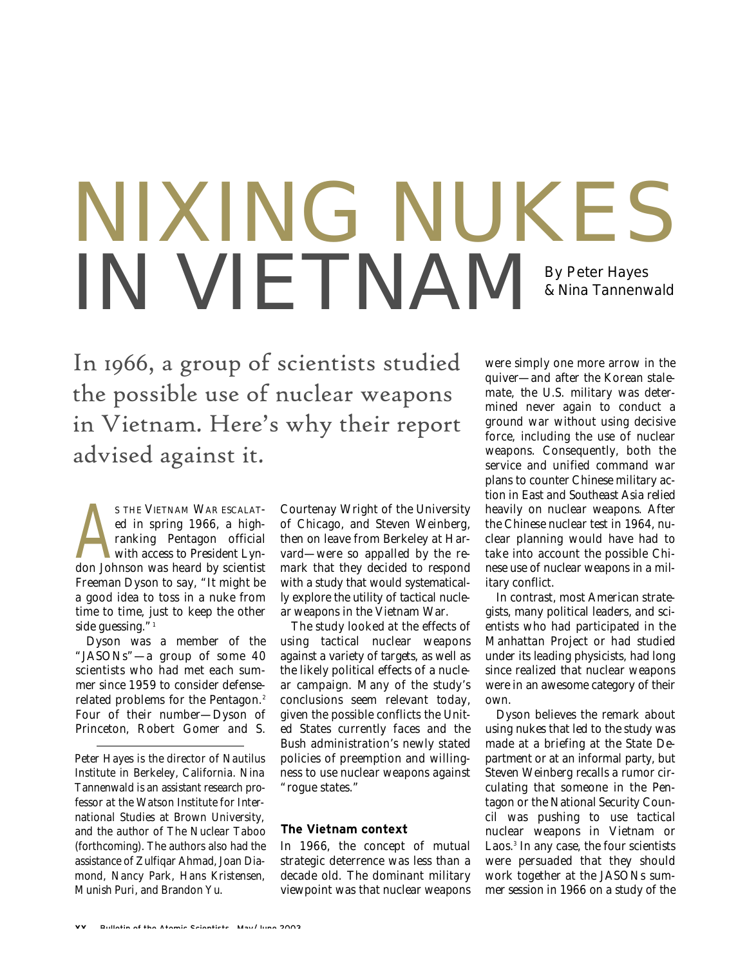# NIXING NUKES IN VIETNAM By Peter Hayes & Nina Tannenwald

In 1966, a group of scientists studied the possible use of nuclear weapons in Vietnam. Here's why their report advised against it.

STHE VIETNAM WAR ESCALATED in spring 1966, a high-ranking Pentagon official with access to President Lyndon Johnson was heard by scientist S THE VIETNAM WAR ESCALATed in spring 1966, a highranking Pentagon official with access to President Lyn-Freeman Dyson to say, "It might be a good idea to toss in a nuke from time to time, just to keep the other side guessing."<sup>1</sup>

Dyson was a member of the "JASONs"-a group of some 40 scientists who had met each summer since 1959 to consider defenserelated problems for the Pentagon.<sup>2</sup> Four of their number—Dyson of Princeton, Robert Gomer and S.

*Peter Hayes is the director of Nautilus Institute in Berkeley, California. Nina Tannenwald is an assistant research professor at the Watson Institute for International Studies at Brown University, and the author of* The Nuclear Taboo *(forthcoming). The authors also had the assistance of Zulfiqar Ahmad, Joan Diamond, Nancy Park, Hans Kristensen, Munish Puri, and Brandon Yu.*

Courtenay Wright of the University of Chicago, and Steven Weinberg, then on leave from Berkeley at Harvard—were so appalled by the remark that they decided to respond with a study that would systematically explore the utility of tactical nuclear weapons in the Vietnam War.

The study looked at the effects of using tactical nuclear weapons against a variety of targets, as well as the likely political effects of a nuclear campaign. Many of the study's conclusions seem relevant today, given the possible conflicts the United States currently faces and the Bush administration's newly stated policies of preemption and willingness to use nuclear weapons against "rogue states."

#### **The Vietnam context**

In 1966, the concept of mutual strategic deterrence was less than a decade old. The dominant military viewpoint was that nuclear weapons were simply one more arrow in the quiver—and after the Korean stalemate, the U.S. military was determined never again to conduct a ground war without using decisive force, including the use of nuclear weapons. Consequently, both the service and unified command war plans to counter Chinese military action in East and Southeast Asia relied heavily on nuclear weapons. After the Chinese nuclear test in 1964, nuclear planning would have had to take into account the possible Chinese use of nuclear weapons in a military conflict.

In contrast, most American strategists, many political leaders, and scientists who had participated in the Manhattan Project or had studied under its leading physicists, had long since realized that nuclear weapons were in an awesome category of their own.

Dyson believes the remark about using nukes that led to the study was made at a briefing at the State Department or at an informal party, but Steven Weinberg recalls a rumor circulating that someone in the Pentagon or the National Security Council was pushing to use tactical nuclear weapons in Vietnam or Laos.<sup>3</sup> In any case, the four scientists were persuaded that they should work together at the JASONs summer session in 1966 on a study of the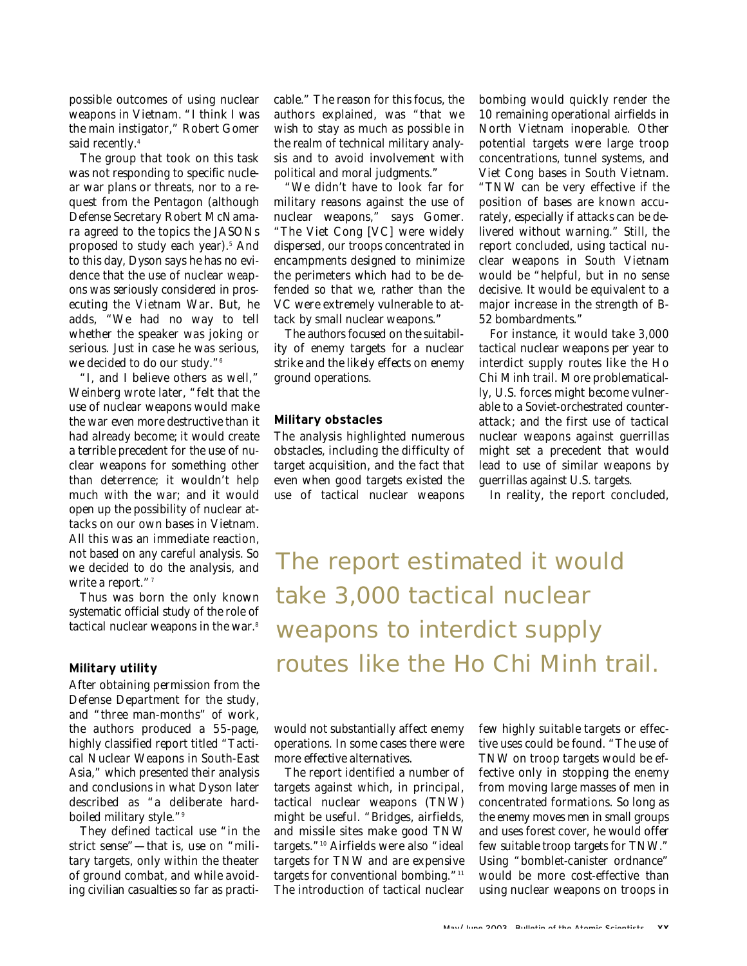possible outcomes of using nuclear weapons in Vietnam. "I think I was the main instigator," Robert Gomer said recently.<sup>4</sup>

The group that took on this task was not responding to specific nuclear war plans or threats, nor to a request from the Pentagon (although Defense Secretary Robert McNamara agreed to the topics the JASONs proposed to study each year).<sup>5</sup> And to this day, Dyson says he has no evidence that the use of nuclear weapons was seriously considered in prosecuting the Vietnam War. But, he adds, "We had no way to tell whether the speaker was joking or serious. Just in case he was serious, we decided to do our study."<sup>6</sup>

"I, and I believe others as well," Weinberg wrote later, "felt that the use of nuclear weapons would make the war even more destructive than it had already become; it would create a terrible precedent for the use of nuclear weapons for something other than deterrence; it wouldn't help much with the war; and it would open up the possibility of nuclear attacks on our own bases in Vietnam. All this was an immediate reaction, not based on any careful analysis. So we decided to do the analysis, and write a report."<sup>7</sup>

Thus was born the only known systematic official study of the role of tactical nuclear weapons in the war.<sup>8</sup>

#### **Military utility**

After obtaining permission from the Defense Department for the study, and "three man-months" of work, the authors produced a 55-page, highly classified report titled "Tactical Nuclear Weapons in South-East Asia," which presented their analysis and conclusions in what Dyson later described as "a deliberate hardboiled military style."<sup>9</sup>

They defined tactical use "in the strict sense"—that is, use on "military targets, only within the theater of ground combat, and while avoiding civilian casualties so far as practicable." The reason for this focus, the authors explained, was "that we wish to stay as much as possible in the realm of technical military analysis and to avoid involvement with political and moral judgments."

"We didn't have to look far for military reasons against the use of nuclear weapons," says Gomer. "The Viet Cong [VC] were widely dispersed, our troops concentrated in encampments designed to minimize the perimeters which had to be defended so that we, rather than the VC were extremely vulnerable to attack by small nuclear weapons."

The authors focused on the suitability of enemy targets for a nuclear strike and the likely effects on enemy ground operations.

#### **Military obstacles**

The analysis highlighted numerous obstacles, including the difficulty of target acquisition, and the fact that even when good targets existed the use of tactical nuclear weapons

bombing would quickly render the 10 remaining operational airfields in North Vietnam inoperable. Other potential targets were large troop concentrations, tunnel systems, and Viet Cong bases in South Vietnam. "TNW can be very effective if the position of bases are known accurately, especially if attacks can be delivered without warning." Still, the report concluded, using tactical nuclear weapons in South Vietnam would be "helpful, but in no sense decisive. It would be equivalent to a major increase in the strength of B-52 bombardments."

For instance, it would take 3,000 tactical nuclear weapons per year to interdict supply routes like the Ho Chi Minh trail. More problematically, U.S. forces might become vulnerable to a Soviet-orchestrated counterattack; and the first use of tactical nuclear weapons against guerrillas might set a precedent that would lead to use of similar weapons by guerrillas against U.S. targets.

In reality, the report concluded,

The report estimated it would take 3,000 tactical nuclear weapons to interdict supply routes like the Ho Chi Minh trail.

would not substantially affect enemy operations. In some cases there were more effective alternatives.

The report identified a number of targets against which, in principal, tactical nuclear weapons (TNW) might be useful. "Bridges, airfields, and missile sites make good TNW targets."<sup>10</sup> Airfields were also "ideal targets for TNW and are expensive targets for conventional bombing."<sup>11</sup> The introduction of tactical nuclear

few highly suitable targets or effective uses could be found. "The use of TNW on troop targets would be effective only in stopping the enemy from moving large masses of men in concentrated formations. So long as the enemy moves men in small groups and uses forest cover, he would offer few suitable troop targets for TNW." Using "bomblet-canister ordnance" would be more cost-effective than using nuclear weapons on troops in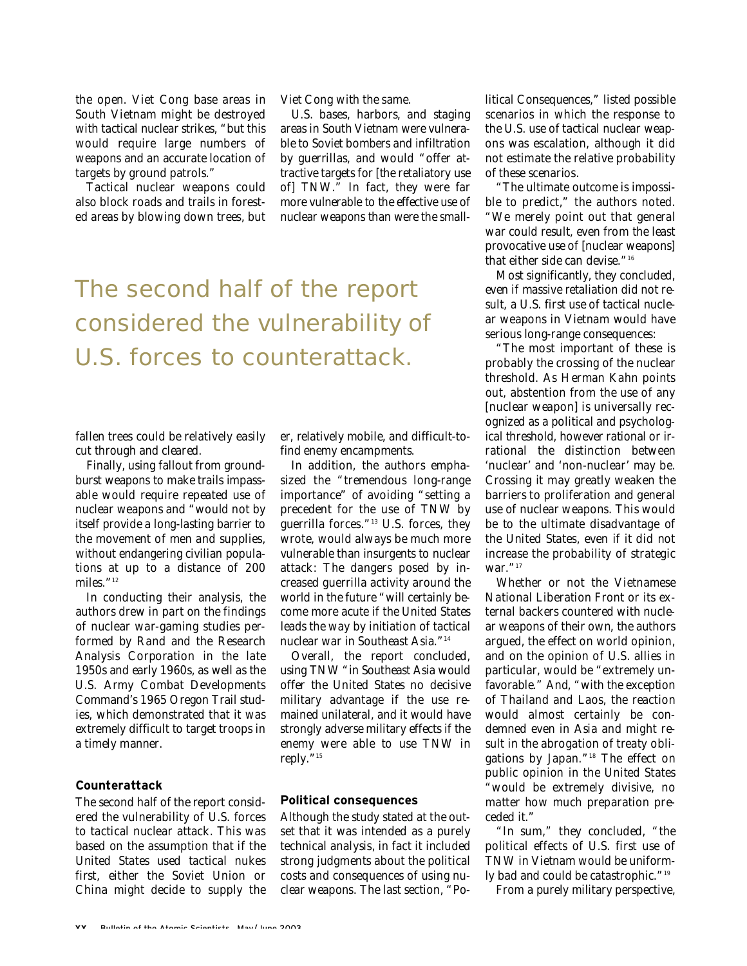the open. Viet Cong base areas in South Vietnam might be destroyed with tactical nuclear strikes, "but this would require large numbers of weapons and an accurate location of targets by ground patrols."

Tactical nuclear weapons could also block roads and trails in forested areas by blowing down trees, but Viet Cong with the same.

U.S. bases, harbors, and staging areas in South Vietnam were vulnerable to Soviet bombers and infiltration by guerrillas, and would "offer attractive targets for [the retaliatory use of] TNW." In fact, they were far more vulnerable to the effective use of nuclear weapons than were the small-

### The second half of the report considered the vulnerability of U.S. forces to counterattack.

fallen trees could be relatively easily cut through and cleared.

Finally, using fallout from groundburst weapons to make trails impassable would require repeated use of nuclear weapons and "would not by itself provide a long-lasting barrier to the movement of men and supplies, without endangering civilian populations at up to a distance of 200 miles."<sup>12</sup>

In conducting their analysis, the authors drew in part on the findings of nuclear war-gaming studies performed by Rand and the Research Analysis Corporation in the late 1950s and early 1960s, as well as the U.S. Army Combat Developments Command's 1965 Oregon Trail studies, which demonstrated that it was extremely difficult to target troops in a timely manner.

#### **Counterattack**

The second half of the report considered the vulnerability of U.S. forces to tactical nuclear attack. This was based on the assumption that if the United States used tactical nukes first, either the Soviet Union or China might decide to supply the

er, relatively mobile, and difficult-tofind enemy encampments.

In addition, the authors emphasized the "tremendous long-range importance" of avoiding "setting a precedent for the use of TNW by guerrilla forces." $13$  U.S. forces, they wrote, would always be much more vulnerable than insurgents to nuclear attack: The dangers posed by increased guerrilla activity around the world in the future "will certainly become more acute if the United States leads the way by initiation of tactical nuclear war in Southeast Asia."<sup>14</sup>

Overall, the report concluded, using TNW "in Southeast Asia would offer the United States no decisive military advantage if the use remained unilateral, and it would have strongly adverse military effects if the enemy were able to use TNW in reply."<sup>15</sup>

#### **Political consequences**

Although the study stated at the outset that it was intended as a purely technical analysis, in fact it included strong judgments about the political costs and consequences of using nuclear weapons. The last section, "Political Consequences," listed possible scenarios in which the response to the U.S. use of tactical nuclear weapons was escalation, although it did not estimate the relative probability of these scenarios.

"The ultimate outcome is impossible to predict," the authors noted. "We merely point out that general war could result, even from the least provocative use of [nuclear weapons] that either side can devise."<sup>16</sup>

Most significantly, they concluded, even if massive retaliation did not result, a U.S. first use of tactical nuclear weapons in Vietnam would have serious long-range consequences:

"The most important of these is probably the crossing of the nuclear threshold. As Herman Kahn points out, abstention from the use of any [nuclear weapon] is universally recognized as a political and psychological threshold, however rational or irrational the distinction between 'nuclear' and 'non-nuclear' may be. Crossing it may greatly weaken the barriers to proliferation and general use of nuclear weapons. This would be to the ultimate disadvantage of the United States, even if it did not increase the probability of strategic war."<sup>17</sup>

Whether or not the Vietnamese National Liberation Front or its external backers countered with nuclear weapons of their own, the authors argued, the effect on world opinion, and on the opinion of U.S. allies in particular, would be "extremely unfavorable." And, "with the exception of Thailand and Laos, the reaction would almost certainly be condemned even in Asia and might result in the abrogation of treaty obligations by Japan."<sup>18</sup> The effect on public opinion in the United States "would be extremely divisive, no matter how much preparation preceded it."

"In sum," they concluded, "the political effects of U.S. first use of TNW in Vietnam would be uniformly bad and could be catastrophic."<sup>19</sup>

From a purely military perspective,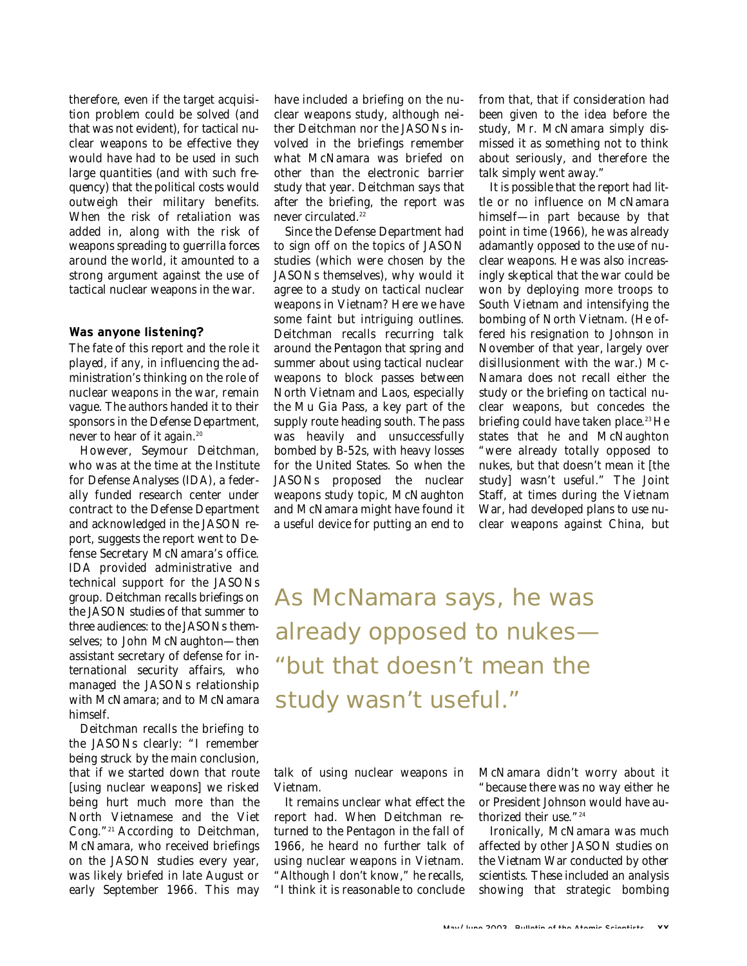therefore, even if the target acquisition problem could be solved (and that was not evident), for tactical nuclear weapons to be effective they would have had to be used in such large quantities (and with such frequency) that the political costs would outweigh their military benefits. When the risk of retaliation was added in, along with the risk of weapons spreading to guerrilla forces around the world, it amounted to a strong argument against the use of tactical nuclear weapons in the war.

#### **Was anyone listening?**

The fate of this report and the role it played, if any, in influencing the administration's thinking on the role of nuclear weapons in the war, remain vague. The authors handed it to their sponsors in the Defense Department, never to hear of it again.<sup>20</sup>

However, Seymour Deitchman, who was at the time at the Institute for Defense Analyses (IDA), a federally funded research center under contract to the Defense Department and acknowledged in the JASON report, suggests the report went to Defense Secretary McNamara's office. IDA provided administrative and technical support for the JASONs group. Deitchman recalls briefings on the JASON studies of that summer to three audiences: to the JASONs themselves; to John McNaughton—then assistant secretary of defense for international security affairs, who managed the JASONs relationship with McNamara; and to McNamara himself.

Deitchman recalls the briefing to the JASONs clearly: "I remember being struck by the main conclusion, that if we started down that route [using nuclear weapons] we risked being hurt much more than the North Vietnamese and the Viet Cong."<sup>21</sup> According to Deitchman, McNamara, who received briefings on the JASON studies every year, was likely briefed in late August or early September 1966. This may have included a briefing on the nuclear weapons study, although neither Deitchman nor the JASONs involved in the briefings remember what McNamara was briefed on other than the electronic barrier study that year. Deitchman says that after the briefing, the report was never circulated.<sup>22</sup>

Since the Defense Department had to sign off on the topics of JASON studies (which were chosen by the JASONs themselves), why would it agree to a study on tactical nuclear weapons in Vietnam? Here we have some faint but intriguing outlines. Deitchman recalls recurring talk around the Pentagon that spring and summer about using tactical nuclear weapons to block passes between North Vietnam and Laos, especially the Mu Gia Pass, a key part of the supply route heading south. The pass was heavily and unsuccessfully bombed by B-52s, with heavy losses for the United States. So when the JASONs proposed the nuclear weapons study topic, McNaughton and McNamara might have found it a useful device for putting an end to

from that, that if consideration had been given to the idea before the study, Mr. McNamara simply dismissed it as something not to think about seriously, and therefore the talk simply went away."

It is possible that the report had little or no influence on McNamara himself—in part because by that point in time (1966), he was already adamantly opposed to the use of nuclear weapons. He was also increasingly skeptical that the war could be won by deploying more troops to South Vietnam and intensifying the bombing of North Vietnam. (He offered his resignation to Johnson in November of that year, largely over disillusionment with the war.) Mc-Namara does not recall either the study or the briefing on tactical nuclear weapons, but concedes the briefing could have taken place.<sup>23</sup> He states that he and McNaughton "were already totally opposed to nukes, but that doesn't mean it [the study] wasn't useful." The Joint Staff, at times during the Vietnam War, had developed plans to use nuclear weapons against China, but

As McNamara says, he was already opposed to nukes— "but that doesn't mean the study wasn't useful."

talk of using nuclear weapons in Vietnam.

It remains unclear what effect the report had. When Deitchman returned to the Pentagon in the fall of 1966, he heard no further talk of using nuclear weapons in Vietnam. "Although I don't know," he recalls, "I think it is reasonable to conclude

McNamara didn't worry about it "because there was no way either he or President Johnson would have authorized their use." $^{\rm 24}$ 

Ironically, McNamara was much affected by other JASON studies on the Vietnam War conducted by other scientists. These included an analysis showing that strategic bombing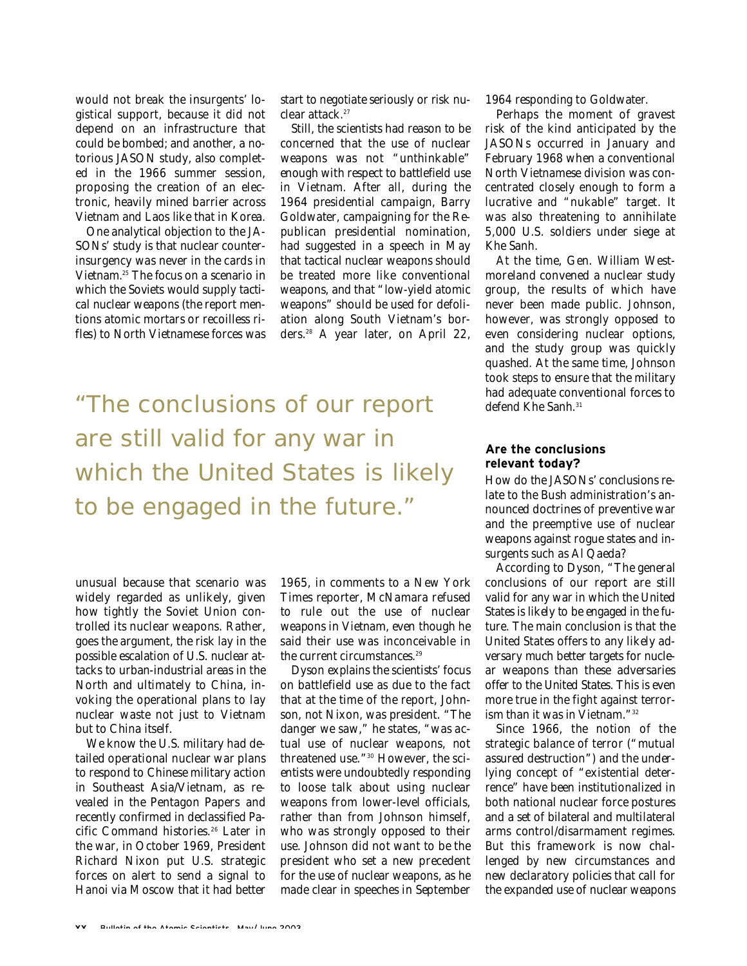would not break the insurgents' logistical support, because it did not depend on an infrastructure that could be bombed; and another, a notorious JASON study, also completed in the 1966 summer session, proposing the creation of an electronic, heavily mined barrier across Vietnam and Laos like that in Korea.

One analytical objection to the JA-SONs' study is that nuclear counterinsurgency was never in the cards in Vietnam.<sup>25</sup> The focus on a scenario in which the Soviets would supply tactical nuclear weapons (the report mentions atomic mortars or recoilless rifles) to North Vietnamese forces was start to negotiate seriously or risk nuclear attack.<sup>27</sup>

Still, the scientists had reason to be concerned that the use of nuclear weapons was not "unthinkable" enough with respect to battlefield use in Vietnam. After all, during the 1964 presidential campaign, Barry Goldwater, campaigning for the Republican presidential nomination, had suggested in a speech in May that tactical nuclear weapons should be treated more like conventional weapons, and that "low-yield atomic weapons" should be used for defoliation along South Vietnam's borders.<sup>28</sup> A year later, on April 22,

"The conclusions of our report are still valid for any war in which the United States is likely to be engaged in the future."

unusual because that scenario was widely regarded as unlikely, given how tightly the Soviet Union controlled its nuclear weapons. Rather, goes the argument, the risk lay in the possible escalation of U.S. nuclear attacks to urban-industrial areas in the North and ultimately to China, invoking the operational plans to lay nuclear waste not just to Vietnam but to China itself.

We know the U.S. military had detailed operational nuclear war plans to respond to Chinese military action in Southeast Asia/Vietnam, as revealed in the Pentagon Papers and recently confirmed in declassified Pacific Command histories.<sup>26</sup> Later in the war, in October 1969, President Richard Nixon put U.S. strategic forces on alert to send a signal to Hanoi via Moscow that it had better

1965, in comments to a *New York* **Times reporter, McNamara refused** to rule out the use of nuclear weapons in Vietnam, even though he said their use was inconceivable in the current circumstances.<sup>29</sup>

Dyson explains the scientists' focus on battlefield use as due to the fact that at the time of the report, Johnson, not Nixon, was president. "The danger we saw," he states, "was actual use of nuclear weapons, not threatened use."<sup>30</sup> However, the scientists were undoubtedly responding to loose talk about using nuclear weapons from lower-level officials, rather than from Johnson himself, who was strongly opposed to their use. Johnson did not want to be the president who set a new precedent for the use of nuclear weapons, as he made clear in speeches in September

1964 responding to Goldwater.

Perhaps the moment of gravest risk of the kind anticipated by the JASONs occurred in January and February 1968 when a conventional North Vietnamese division was concentrated closely enough to form a lucrative and "nukable" target. It was also threatening to annihilate 5,000 U.S. soldiers under siege at Khe Sanh.

At the time, Gen. William Westmoreland convened a nuclear study group, the results of which have never been made public. Johnson, however, was strongly opposed to even considering nuclear options, and the study group was quickly quashed. At the same time, Johnson took steps to ensure that the military had adequate conventional forces to defend Khe Sanh.<sup>31</sup>

#### **Are the conclusions relevant today?**

How do the JASONs' conclusions relate to the Bush administration's announced doctrines of preventive war and the preemptive use of nuclear weapons against rogue states and insurgents such as Al Qaeda?

According to Dyson, "The general conclusions of our report are still valid for any war in which the United States is likely to be engaged in the future. The main conclusion is that the United States offers to any likely adversary much better targets for nuclear weapons than these adversaries offer to the United States. This is even more true in the fight against terrorism than it was in Vietnam." 32

Since 1966, the notion of the strategic balance of terror ("mutual assured destruction") and the underlying concept of "existential deterrence" have been institutionalized in both national nuclear force postures and a set of bilateral and multilateral arms control/disarmament regimes. But this framework is now challenged by new circumstances and new declaratory policies that call for the expanded use of nuclear weapons